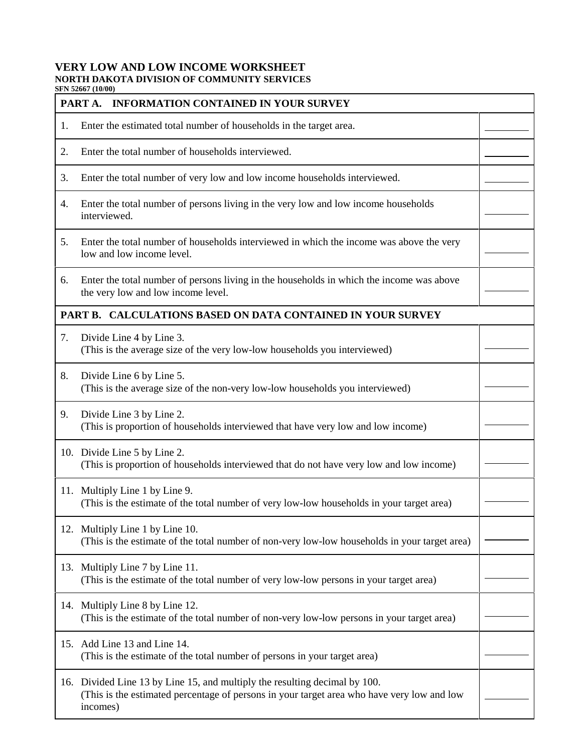## **VERY LOW AND LOW INCOME WORKSHEET NORTH DAKOTA DIVISION OF COMMUNITY SERVICES**

**SFN 52667 (10/00)**

| JEIN 34007 (TU/UU<br><b>INFORMATION CONTAINED IN YOUR SURVEY</b><br>PART A. |                                                                                                                                                                                      |  |
|-----------------------------------------------------------------------------|--------------------------------------------------------------------------------------------------------------------------------------------------------------------------------------|--|
| 1.                                                                          | Enter the estimated total number of households in the target area.                                                                                                                   |  |
| 2.                                                                          | Enter the total number of households interviewed.                                                                                                                                    |  |
| 3.                                                                          | Enter the total number of very low and low income households interviewed.                                                                                                            |  |
| 4.                                                                          | Enter the total number of persons living in the very low and low income households<br>interviewed.                                                                                   |  |
| 5.                                                                          | Enter the total number of households interviewed in which the income was above the very<br>low and low income level.                                                                 |  |
| 6.                                                                          | Enter the total number of persons living in the households in which the income was above<br>the very low and low income level.                                                       |  |
| PART B. CALCULATIONS BASED ON DATA CONTAINED IN YOUR SURVEY                 |                                                                                                                                                                                      |  |
| 7.                                                                          | Divide Line 4 by Line 3.<br>(This is the average size of the very low-low households you interviewed)                                                                                |  |
| 8.                                                                          | Divide Line 6 by Line 5.<br>(This is the average size of the non-very low-low households you interviewed)                                                                            |  |
| 9.                                                                          | Divide Line 3 by Line 2.<br>(This is proportion of households interviewed that have very low and low income)                                                                         |  |
|                                                                             | 10. Divide Line 5 by Line 2.<br>(This is proportion of households interviewed that do not have very low and low income)                                                              |  |
|                                                                             | 11. Multiply Line 1 by Line 9.<br>(This is the estimate of the total number of very low-low households in your target area)                                                          |  |
|                                                                             | 12. Multiply Line 1 by Line 10.<br>(This is the estimate of the total number of non-very low-low households in your target area)                                                     |  |
|                                                                             | 13. Multiply Line 7 by Line 11.<br>(This is the estimate of the total number of very low-low persons in your target area)                                                            |  |
|                                                                             | 14. Multiply Line 8 by Line 12.<br>(This is the estimate of the total number of non-very low-low persons in your target area)                                                        |  |
|                                                                             | 15. Add Line 13 and Line 14.<br>(This is the estimate of the total number of persons in your target area)                                                                            |  |
|                                                                             | 16. Divided Line 13 by Line 15, and multiply the resulting decimal by 100.<br>(This is the estimated percentage of persons in your target area who have very low and low<br>incomes) |  |